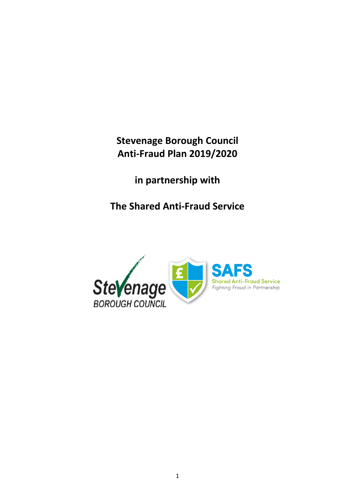**Stevenage Borough Council Anti-Fraud Plan 2019/2020**

**in partnership with**

**The Shared Anti-Fraud Service**

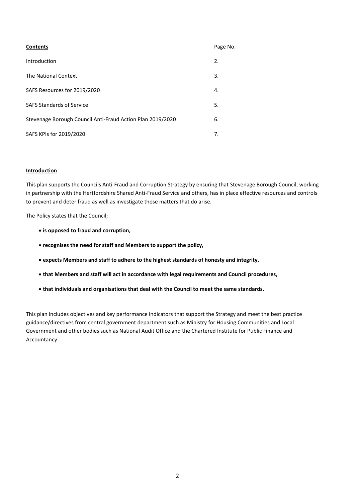| <b>Contents</b>                                            | Page No. |
|------------------------------------------------------------|----------|
| Introduction                                               | 2.       |
| The National Context                                       | 3.       |
| SAFS Resources for 2019/2020                               | 4.       |
| <b>SAFS Standards of Service</b>                           | 5.       |
| Stevenage Borough Council Anti-Fraud Action Plan 2019/2020 | 6.       |
| SAFS KPIs for 2019/2020                                    | 7.       |

#### **Introduction**

This plan supports the Councils Anti-Fraud and Corruption Strategy by ensuring that Stevenage Borough Council, working in partnership with the Hertfordshire Shared Anti-Fraud Service and others, has in place effective resources and controls to prevent and deter fraud as well as investigate those matters that do arise.

The Policy states that the Council;

- **is opposed to fraud and corruption,**
- **recognises the need for staff and Members to support the policy,**
- **expects Members and staff to adhere to the highest standards of honesty and integrity,**
- **that Members and staff will act in accordance with legal requirements and Council procedures,**
- **that individuals and organisations that deal with the Council to meet the same standards.**

This plan includes objectives and key performance indicators that support the Strategy and meet the best practice guidance/directives from central government department such as Ministry for Housing Communities and Local Government and other bodies such as National Audit Office and the Chartered Institute for Public Finance and Accountancy.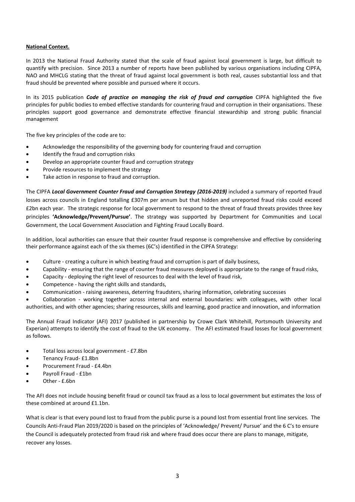## **National Context.**

In 2013 the National Fraud Authority stated that the scale of fraud against local government is large, but difficult to quantify with precision. Since 2013 a number of reports have been published by various organisations including CIPFA, NAO and MHCLG stating that the threat of fraud against local government is both real, causes substantial loss and that fraud should be prevented where possible and pursued where it occurs.

In its 2015 publication *Code of practice on managing the risk of fraud and corruption* CIPFA highlighted the five principles for public bodies to embed effective standards for countering fraud and corruption in their organisations. These principles support good governance and demonstrate effective financial stewardship and strong public financial management

The five key principles of the code are to:

- Acknowledge the responsibility of the governing body for countering fraud and corruption
- Identify the fraud and corruption risks
- Develop an appropriate counter fraud and corruption strategy
- Provide resources to implement the strategy
- Take action in response to fraud and corruption.

The CIPFA *Local Government Counter Fraud and Corruption Strategy (2016-2019)* included a summary of reported fraud losses across councils in England totalling £307m per annum but that hidden and unreported fraud risks could exceed £2bn each year. The strategic response for local government to respond to the threat of fraud threats provides three key principles **'Acknowledge/Prevent/Pursue'**. The strategy was supported by Department for Communities and Local Government, the Local Government Association and Fighting Fraud Locally Board.

In addition, local authorities can ensure that their counter fraud response is comprehensive and effective by considering their performance against each of the six themes (6C's) identified in the CIPFA Strategy:

- Culture creating a culture in which beating fraud and corruption is part of daily business,
- Capability ensuring that the range of counter fraud measures deployed is appropriate to the range of fraud risks,
- Capacity deploying the right level of resources to deal with the level of fraud risk,
- Competence having the right skills and standards,
- Communication raising awareness, deterring fraudsters, sharing information, celebrating successes

 Collaboration - working together across internal and external boundaries: with colleagues, with other local authorities, and with other agencies; sharing resources, skills and learning, good practice and innovation, and information

The Annual Fraud Indicator (AFI) 2017 (published in partnership by Crowe Clark Whitehill, Portsmouth University and Experian) attempts to identify the cost of fraud to the UK economy. The AFI estimated fraud losses for local government as follows.

- Total loss across local government £7.8bn
- Tenancy Fraud- £1.8bn
- Procurement Fraud £4.4bn
- Payroll Fraud £1bn
- Other £.6bn

The AFI does not include housing benefit fraud or council tax fraud as a loss to local government but estimates the loss of these combined at around £1.1bn.

What is clear is that every pound lost to fraud from the public purse is a pound lost from essential front line services. The Councils Anti-Fraud Plan 2019/2020 is based on the principles of 'Acknowledge/ Prevent/ Pursue' and the 6 C's to ensure the Council is adequately protected from fraud risk and where fraud does occur there are plans to manage, mitigate, recover any losses.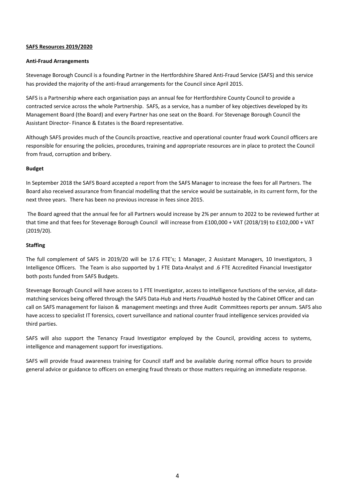#### **SAFS Resources 2019/2020**

#### **Anti-Fraud Arrangements**

Stevenage Borough Council is a founding Partner in the Hertfordshire Shared Anti-Fraud Service (SAFS) and this service has provided the majority of the anti-fraud arrangements for the Council since April 2015.

SAFS is a Partnership where each organisation pays an annual fee for Hertfordshire County Council to provide a contracted service across the whole Partnership. SAFS, as a service, has a number of key objectives developed by its Management Board (the Board) and every Partner has one seat on the Board. For Stevenage Borough Council the Assistant Director- Finance & Estates is the Board representative.

Although SAFS provides much of the Councils proactive, reactive and operational counter fraud work Council officers are responsible for ensuring the policies, procedures, training and appropriate resources are in place to protect the Council from fraud, corruption and bribery.

## **Budget**

In September 2018 the SAFS Board accepted a report from the SAFS Manager to increase the fees for all Partners. The Board also received assurance from financial modelling that the service would be sustainable, in its current form, for the next three years. There has been no previous increase in fees since 2015.

The Board agreed that the annual fee for all Partners would increase by 2% per annum to 2022 to be reviewed further at that time and that fees for Stevenage Borough Council will increase from £100,000 + VAT (2018/19) to £102,000 + VAT (2019/20).

## **Staffing**

The full complement of SAFS in 2019/20 will be 17.6 FTE's; 1 Manager, 2 Assistant Managers, 10 Investigators, 3 Intelligence Officers. The Team is also supported by 1 FTE Data-Analyst and .6 FTE Accredited Financial Investigator both posts funded from SAFS Budgets.

Stevenage Borough Council will have access to 1 FTE Investigator, access to intelligence functions of the service, all datamatching services being offered through the SAFS Data-Hub and Herts *FraudHub* hosted by the Cabinet Officer and can call on SAFS management for liaison & management meetings and three Audit Committees reports per annum. SAFS also have access to specialist IT forensics, covert surveillance and national counter fraud intelligence services provided via third parties.

SAFS will also support the Tenancy Fraud Investigator employed by the Council, providing access to systems, intelligence and management support for investigations.

SAFS will provide fraud awareness training for Council staff and be available during normal office hours to provide general advice or guidance to officers on emerging fraud threats or those matters requiring an immediate response.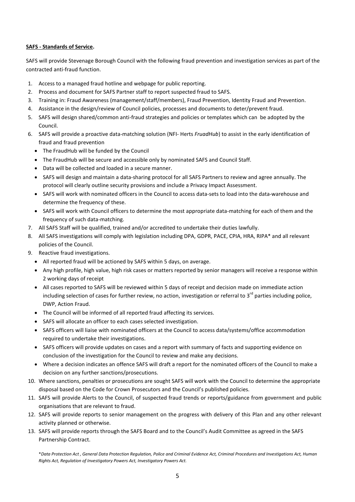## **SAFS - Standards of Service.**

SAFS will provide Stevenage Borough Council with the following fraud prevention and investigation services as part of the contracted anti-fraud function.

- 1. Access to a managed fraud hotline and webpage for public reporting.
- 2. Process and document for SAFS Partner staff to report suspected fraud to SAFS.
- 3. Training in: Fraud Awareness (management/staff/members), Fraud Prevention, Identity Fraud and Prevention.
- 4. Assistance in the design/review of Council policies, processes and documents to deter/prevent fraud.
- 5. SAFS will design shared/common anti-fraud strategies and policies or templates which can be adopted by the Council.
- 6. SAFS will provide a proactive data-matching solution (NFI- Herts *FruadHub*) to assist in the early identification of fraud and fraud prevention
	- The FraudHub will be funded by the Council
	- The FraudHub will be secure and accessible only by nominated SAFS and Council Staff.
	- Data will be collected and loaded in a secure manner.
	- SAFS will design and maintain a data-sharing protocol for all SAFS Partners to review and agree annually. The protocol will clearly outline security provisions and include a Privacy Impact Assessment.
	- SAFS will work with nominated officers in the Council to access data-sets to load into the data-warehouse and determine the frequency of these.
	- SAFS will work with Council officers to determine the most appropriate data-matching for each of them and the frequency of such data-matching.
- 7. All SAFS Staff will be qualified, trained and/or accredited to undertake their duties lawfully.
- 8. All SAFS investigations will comply with legislation including DPA, GDPR, PACE, CPIA, HRA, RIPA\* and all relevant policies of the Council.
- 9. Reactive fraud investigations.
	- All reported fraud will be actioned by SAFS within 5 days, on average.
	- Any high profile, high value, high risk cases or matters reported by senior managers will receive a response within 2 working days of receipt
	- All cases reported to SAFS will be reviewed within 5 days of receipt and decision made on immediate action including selection of cases for further review, no action, investigation or referral to  $3^{rd}$  parties including police, DWP, Action Fraud.
	- The Council will be informed of all reported fraud affecting its services.
	- SAFS will allocate an officer to each cases selected investigation.
	- SAFS officers will liaise with nominated officers at the Council to access data/systems/office accommodation required to undertake their investigations.
	- SAFS officers will provide updates on cases and a report with summary of facts and supporting evidence on conclusion of the investigation for the Council to review and make any decisions.
	- Where a decision indicates an offence SAFS will draft a report for the nominated officers of the Council to make a decision on any further sanctions/prosecutions.
- 10. Where sanctions, penalties or prosecutions are sought SAFS will work with the Council to determine the appropriate disposal based on the Code for Crown Prosecutors and the Council's published policies.
- 11. SAFS will provide Alerts to the Council, of suspected fraud trends or reports/guidance from government and public organisations that are relevant to fraud.
- 12. SAFS will provide reports to senior management on the progress with delivery of this Plan and any other relevant activity planned or otherwise.
- 13. SAFS will provide reports through the SAFS Board and to the Council's Audit Committee as agreed in the SAFS Partnership Contract.

\**Data Protection Act , General Data Protection Regulation, Police and Criminal Evidence Act, Criminal Procedures and Investigations Act, Human Rights Act, Regulation of Investigatory Powers Act, Investigatory Powers Act.*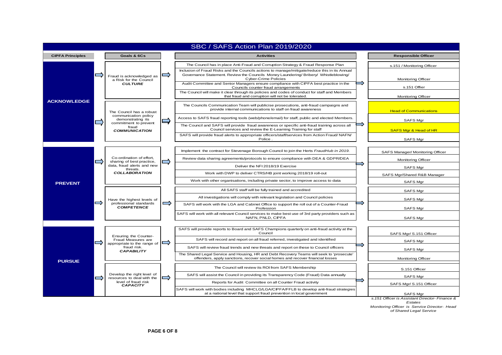

*Monitoring Officer is Service Director- Head of Shared Legal Service*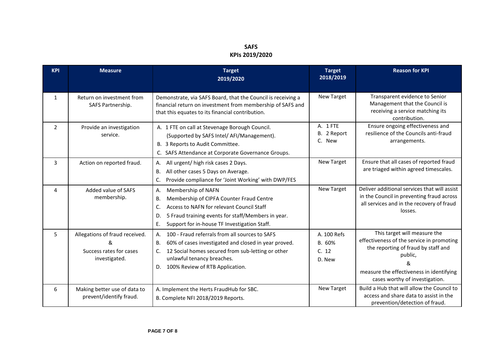# **SAFS KPIs 2019/2020**

| <b>KPI</b>     | <b>Measure</b>                                                                  | <b>Target</b><br>2019/2020                                                                                                                                                                                                                        | <b>Target</b><br>2018/2019               | <b>Reason for KPI</b>                                                                                                                                                                                          |
|----------------|---------------------------------------------------------------------------------|---------------------------------------------------------------------------------------------------------------------------------------------------------------------------------------------------------------------------------------------------|------------------------------------------|----------------------------------------------------------------------------------------------------------------------------------------------------------------------------------------------------------------|
| $\mathbf{1}$   | Return on investment from<br>SAFS Partnership.                                  | Demonstrate, via SAFS Board, that the Council is receiving a<br>financial return on investment from membership of SAFS and<br>that this equates to its financial contribution.                                                                    | New Target                               | Transparent evidence to Senior<br>Management that the Council is<br>receiving a service matching its<br>contribution.                                                                                          |
| $\overline{2}$ | Provide an investigation<br>service.                                            | A. 1 FTE on call at Stevenage Borough Council.<br>(Supported by SAFS Intel/ AFI/Management).<br>B. 3 Reports to Audit Committee.<br>C. SAFS Attendance at Corporate Governance Groups.                                                            | A. 1 FTE<br>B. 2 Report<br>C. New        | Ensure ongoing effectiveness and<br>resilience of the Councils anti-fraud<br>arrangements.                                                                                                                     |
| 3              | Action on reported fraud.                                                       | All urgent/ high risk cases 2 Days.<br>А.<br>All other cases 5 Days on Average.<br>Β.<br>Provide compliance for 'Joint Working' with DWP/FES<br>C.                                                                                                | New Target                               | Ensure that all cases of reported fraud<br>are triaged within agreed timescales.                                                                                                                               |
| 4              | Added value of SAFS<br>membership.                                              | Membership of NAFN<br>А.<br>Membership of CIPFA Counter Fraud Centre<br>В.<br>Access to NAFN for relevant Council Staff<br>C.<br>5 Fraud training events for staff/Members in year.<br>D.<br>Е.<br>Support for in-house TF Investigation Staff.   | New Target                               | Deliver additional services that will assist<br>in the Council in preventing fraud across<br>all services and in the recovery of fraud<br>losses.                                                              |
| 5              | Allegations of fraud received.<br>&<br>Success rates for cases<br>investigated. | 100 - Fraud referrals from all sources to SAFS<br>А.<br>60% of cases investigated and closed in year proved.<br>Β.<br>12 Social homes secured from sub-letting or other<br>C.<br>unlawful tenancy breaches.<br>D. 100% Review of RTB Application. | A. 100 Refs<br>B. 60%<br>C. 12<br>D. New | This target will measure the<br>effectiveness of the service in promoting<br>the reporting of fraud by staff and<br>public,<br>&<br>measure the effectiveness in identifying<br>cases worthy of investigation. |
| 6              | Making better use of data to<br>prevent/identify fraud.                         | A. Implement the Herts FraudHub for SBC.<br>B. Complete NFI 2018/2019 Reports.                                                                                                                                                                    | New Target                               | Build a Hub that will allow the Council to<br>access and share data to assist in the<br>prevention/detection of fraud.                                                                                         |